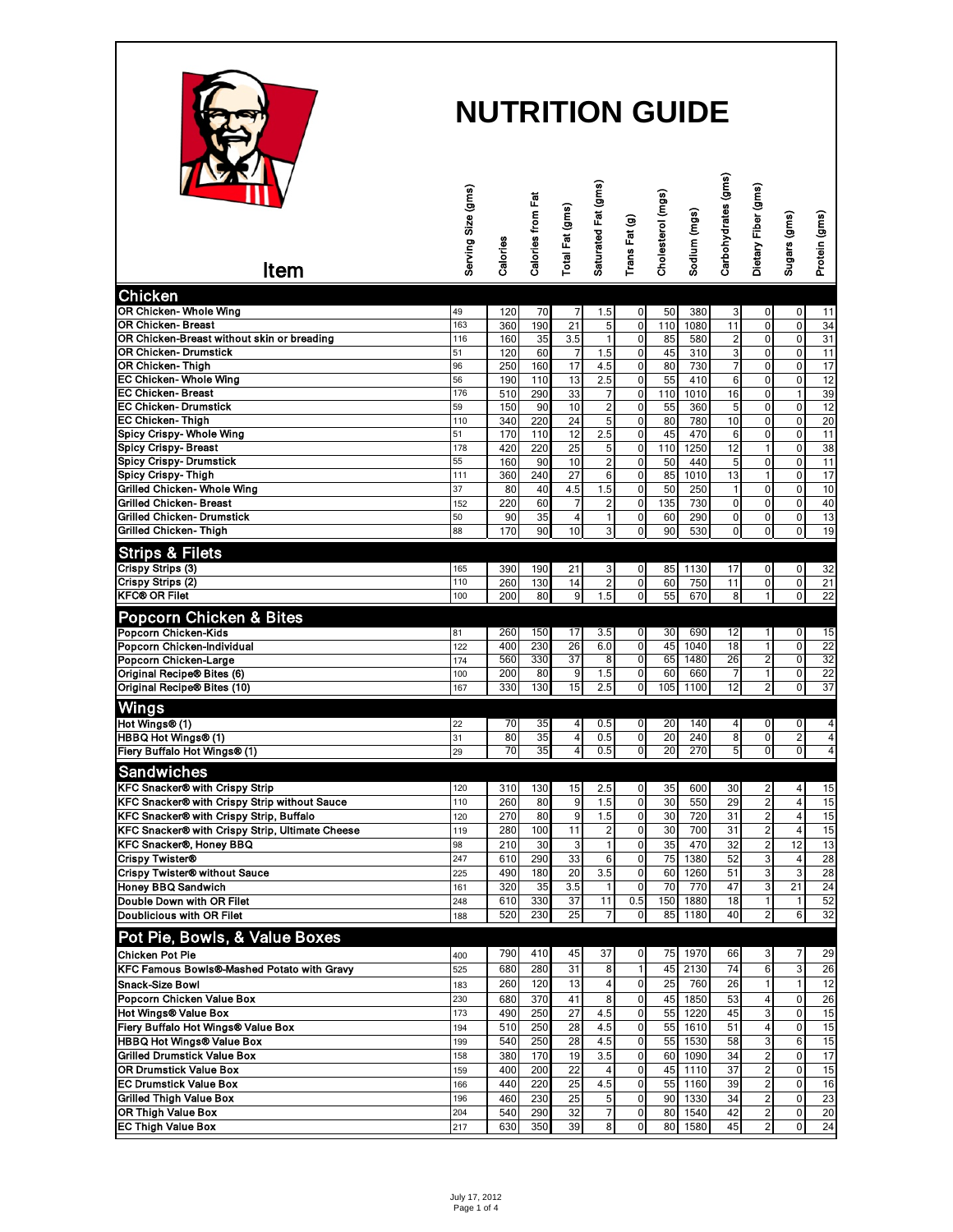

| <b>IMAN</b><br>Item                                                    | Serving Size (gms) | Calories   | Calories from Fat | Total Fat (gms)         | Saturated Fat (gms)     | Trans Fat (g)  | Cholesterol (mgs) | Sodium (mgs) | Carbohydrates (gms) | Dietary Fiber (gms)     | Sugars (gms)               | Protein (gms)         |
|------------------------------------------------------------------------|--------------------|------------|-------------------|-------------------------|-------------------------|----------------|-------------------|--------------|---------------------|-------------------------|----------------------------|-----------------------|
| <b>Chicken</b>                                                         |                    |            |                   |                         |                         |                |                   |              |                     |                         |                            |                       |
| OR Chicken- Whole Wing                                                 | 49                 | 120        | 70                | 7                       | 1.5                     | $\mathbf 0$    | 50                | 380          | 3                   | 0                       | 0                          | 11                    |
| <b>OR Chicken-Breast</b>                                               | 163                | 360        | 190               | 21                      | 5                       | $\pmb{0}$      | 110               | 1080         | 11                  | 0                       | $\mathbf 0$                | 34                    |
| OR Chicken-Breast without skin or breading                             | 116                | 160        | 35                | 3.5                     | 1                       | $\mathbf 0$    | 85                | 580          | 2                   | 0                       | $\pmb{0}$                  | 31                    |
| <b>OR Chicken- Drumstick</b>                                           | 51                 | 120        | 60                | $\overline{7}$          | 1.5                     | $\mathbf 0$    | 45                | 310          | 3                   | 0                       | $\mathbf 0$                | $\overline{11}$       |
| OR Chicken-Thigh                                                       | 96                 | 250        | 160               | 17                      | 4.5                     | $\mathbf 0$    | 80                | 730          | 7                   | 0                       | $\mathbf 0$                | 17                    |
| EC Chicken-Whole Wing                                                  | 56                 | 190        | 110               | 13                      | 2.5                     | 0              | 55                | 410          | 6                   | 0                       | 0                          | 12                    |
| <b>EC Chicken-Breast</b><br><b>EC Chicken- Drumstick</b>               | 176                | 510        | 290               | 33                      | 7                       | $\pmb{0}$      | 110               | 1010         | 16                  | 0                       | $\overline{1}$             | 39                    |
| <b>EC Chicken-Thigh</b>                                                | 59<br>110          | 150<br>340 | 90<br>220         | 10<br>24                | $\overline{c}$<br>5     | 0<br>$\pmb{0}$ | 55<br>80          | 360<br>780   | 5<br>10             | 0<br>0                  | $\mathbf 0$<br>$\mathbf 0$ | 12<br>20              |
| <b>Spicy Crispy- Whole Wing</b>                                        | 51                 | 170        | 110               | 12                      | 2.5                     | 0              | 45                | 470          | 6                   | 0                       | $\mathbf 0$                | 11                    |
| <b>Spicy Crispy-Breast</b>                                             | 178                | 420        | 220               | 25                      | 5                       | $\pmb{0}$      | 110               | 1250         | 12                  | $\mathbf{1}$            | $\mathbf 0$                | 38                    |
| <b>Spicy Crispy- Drumstick</b>                                         | 55                 | 160        | 90                | 10                      | $\overline{\mathbf{c}}$ | $\pmb{0}$      | 50                | 440          | 5                   | 0                       | $\mathbf 0$                | 11                    |
| <b>Spicy Crispy-Thigh</b>                                              | 111                | 360        | 240               | 27                      | 6                       | $\mathbf 0$    | 85                | 1010         | 13                  | 1                       | $\mathbf 0$                | 17                    |
| Grilled Chicken- Whole Wing                                            | 37                 | 80         | 40                | 4.5                     | 1.5                     | $\pmb{0}$      | 50                | 250          | 1                   | 0                       | 0                          | 10                    |
| <b>Grilled Chicken-Breast</b>                                          | 152                | 220        | 60                | $\overline{7}$          | $\overline{c}$          | $\mathbf 0$    | 135               | 730          | $\overline{0}$      | $\mathbf 0$             | $\mathbf 0$                | 40                    |
| <b>Grilled Chicken- Drumstick</b>                                      | 50                 | 90         | 35                | $\overline{\mathbf{4}}$ | 1                       | 0              | 60                | 290          | 0                   | 0                       | 0                          | 13                    |
| <b>Grilled Chicken-Thigh</b>                                           | 88                 | 170        | 90                | 10                      | 3                       | $\mathbf{0}$   | 90                | 530          | 0                   | 0                       | $\mathbf{0}$               | 19                    |
| <b>Strips &amp; Filets</b>                                             |                    |            |                   |                         |                         |                |                   |              |                     |                         |                            |                       |
| Crispy Strips (3)                                                      | 165                | 390        | 190               | 21                      | 3                       | $\mathbf 0$    | 85                | 1130         | 17                  | 0                       | 0                          | 32                    |
| <b>Crispy Strips (2)</b>                                               | 110                | 260        | 130               | 14                      | $\overline{\mathbf{c}}$ | $\mathbf 0$    | 60                | 750          | 11                  | 0                       | 0                          | 21                    |
| <b>KFC® OR Filet</b>                                                   | 100                | 200        | 80                | 9                       | 1.5                     | $\mathbf 0$    | 55                | 670          | 8                   | 1                       | $\mathbf 0$                | $\overline{22}$       |
| <b>Popcorn Chicken &amp; Bites</b>                                     |                    |            |                   |                         |                         |                |                   |              |                     |                         |                            |                       |
| Popcorn Chicken-Kids                                                   | 81                 | 260        | 150               | 17                      | 3.5                     | $\mathbf 0$    | 30                | 690          | 12                  | 1                       | 0                          | 15                    |
| Popcorn Chicken-Individual                                             | 122                | 400        | 230               | 26                      | 6.0                     | $\mathbf 0$    | 45                | 1040         | 18                  | 1                       | 0                          | 22                    |
| Popcorn Chicken-Large                                                  | 174                | 560        | 330               | 37                      | 8                       | Ō              | 65                | 1480         | 26                  | 2                       | $\overline{0}$             | 32                    |
| Original Recipe® Bites (6)                                             | 100                | 200        | 80                | 9                       | 1.5                     | Ō              | 60                | 660          | 7                   | 1                       | $\overline{0}$             | 22                    |
| Original Recipe® Bites (10)                                            | 167                | 330        | 130               | $\overline{15}$         | 2.5                     | Ō              | 105               | 1100         | $\overline{12}$     | 2                       | $\overline{0}$             | 37                    |
| <b>Wings</b>                                                           |                    |            |                   |                         |                         |                |                   |              |                     |                         |                            |                       |
| Hot Wings® (1)                                                         | 22                 | 70         | 35                | 4                       | 0.5                     | $\mathbf 0$    | 20                | 140          | 4                   | 0                       | 0                          | 4                     |
| HBBQ Hot Wings® (1)                                                    | 31                 | 80         | 35                | 4                       | 0.5                     | 0              | 20                | 240          | 8                   | 0                       | $\overline{2}$             | 4                     |
| Fiery Buffalo Hot Wings® (1)                                           | 29                 | 70         | 35                | 4                       | 0.5                     | ō              | 20                | 270          | 5                   | 0                       | $\overline{0}$             | 4                     |
| <b>Sandwiches</b>                                                      |                    |            |                   |                         |                         |                |                   |              |                     |                         |                            |                       |
| <b>KFC Snacker® with Crispy Strip</b>                                  | 120                | 310        | 130               | 15                      | 2.5                     | $\mathbf 0$    | 35                | 600          | 30                  | 2                       | 4                          | 15                    |
| KFC Snacker® with Crispy Strip without Sauce                           | 110                | 260        | 80                | 9                       | 1.5                     | $\mathbf 0$    | 30                | 550          | 29                  | $\overline{2}$          | $\overline{4}$             | 15                    |
| KFC Snacker® with Crispy Strip, Buffalo                                | 120                | 270        | 80                | 9                       | 1.5                     | 0              | 30                | 720          | 31                  | $\overline{\mathbf{c}}$ | $\overline{4}$             | 15                    |
| KFC Snacker® with Crispy Strip, Ultimate Cheese                        | 119                | 280        | 100               | 11                      | $\overline{c}$          | $\mathbf 0$    | 30                | 700          | 31                  | $\overline{2}$          | $\overline{4}$             | 15                    |
| <b>KFC Snacker®, Honey BBQ</b>                                         | 98                 | 210        | 30                | 3                       | 1                       | 0              | 35                | 470          | 32                  | 2                       | 12                         | 13                    |
| <b>Crispy Twister®</b>                                                 | 247                | 610        | 290               | 33                      | 6                       | 0              | 75                | 1380         | 52                  | 3                       | $\overline{4}$             | 28                    |
| <b>Crispy Twister® without Sauce</b>                                   | 225                | 490        | 180               | 20                      | 3.5                     | $\overline{0}$ | 60                | 1260         | 51                  | 3                       | 3 <sup>1</sup>             | 28                    |
| <b>Honey BBQ Sandwich</b><br>Double Down with OR Filet                 | 161<br>248         | 320<br>610 | 35<br>330         | 3.5<br>37               | 11                      | 0<br>0.5       | 70<br>150         | 770<br>1880  | 47<br>18            | 3                       | 21<br>$\mathbf{1}$         | $\overline{24}$<br>52 |
| <b>Doublicious with OR Filet</b>                                       | 188                | 520        | 230               | 25                      |                         | 0              | 85                | 1180         | 40                  | 2                       | 6                          | 32                    |
|                                                                        |                    |            |                   |                         |                         |                |                   |              |                     |                         |                            |                       |
| Pot Pie, Bowls, & Value Boxes                                          |                    |            |                   |                         |                         |                |                   |              |                     |                         |                            |                       |
| <b>Chicken Pot Pie</b>                                                 | 400                | 790        | 410               | 45                      | 37                      | $\mathbf 0$    | 75                | 1970         | 66                  | 3                       | 7                          | 29                    |
| KFC Famous Bowls®-Mashed Potato with Gravy                             | 525                | 680        | 280               | 31                      | 8                       | $\mathbf{1}$   | 45                | 2130         | $\overline{74}$     | 6                       | 3                          | $\overline{26}$       |
| Snack-Size Bowl                                                        | 183                | 260        | 120               | 13                      | 4                       | $\pmb{0}$      | 25                | 760          | 26                  | 1                       | $\mathbf{1}$               | 12                    |
| Popcorn Chicken Value Box                                              | 230                | 680        | 370               | 41                      | 8                       | $\pmb{0}$      | 45                | 1850         | 53                  | 4                       | $\mathbf 0$                | 26                    |
| <b>Hot Wings® Value Box</b>                                            | 173                | 490        | 250               | 27                      | 4.5                     | 0              | 55                | 1220         | 45                  | 3                       | $\mathbf 0$                | 15                    |
| Fiery Buffalo Hot Wings® Value Box<br><b>HBBQ Hot Wings® Value Box</b> | 194                | 510<br>540 | 250<br>250        | 28<br>28                | 4.5<br>4.5              | 0<br>0         | 55<br>55          | 1610<br>1530 | 51<br>58            | 4<br>3                  | $\mathbf 0$<br>6           | 15<br>15              |
| <b>Grilled Drumstick Value Box</b>                                     | 199<br>158         | 380        | 170               | 19                      | 3.5                     | $\pmb{0}$      | 60                | 1090         | 34                  | $\overline{\mathbf{c}}$ | $\mathbf 0$                | 17                    |
| <b>OR Drumstick Value Box</b>                                          | 159                | 400        | 200               | 22                      | 4                       | $\pmb{0}$      | 45                | 1110         | 37                  | $\overline{\mathbf{c}}$ | $\mathbf 0$                | 15                    |
| <b>EC Drumstick Value Box</b>                                          | 166                | 440        | 220               | 25                      | 4.5                     | $\mathbf 0$    | 55                | 1160         | 39                  | 2                       | 0                          | 16                    |
| <b>Grilled Thigh Value Box</b>                                         | 196                | 460        | 230               | 25                      | 5                       | $\mathbf 0$    | 90                | 1330         | 34                  | $\overline{\mathbf{c}}$ | $\mathbf 0$                | 23                    |
| <b>OR Thigh Value Box</b>                                              | 204                | 540        | 290               | 32                      | 7                       | $\mathbf 0$    | 80                | 1540         | 42                  | 2                       | $\pmb{0}$                  | 20                    |
| <b>EC Thigh Value Box</b>                                              | 217                | 630        | 350               | 39                      | 8                       | $\pmb{0}$      | 80                | 1580         | 45                  | $\overline{\mathbf{c}}$ | $\mathbf 0$                | 24                    |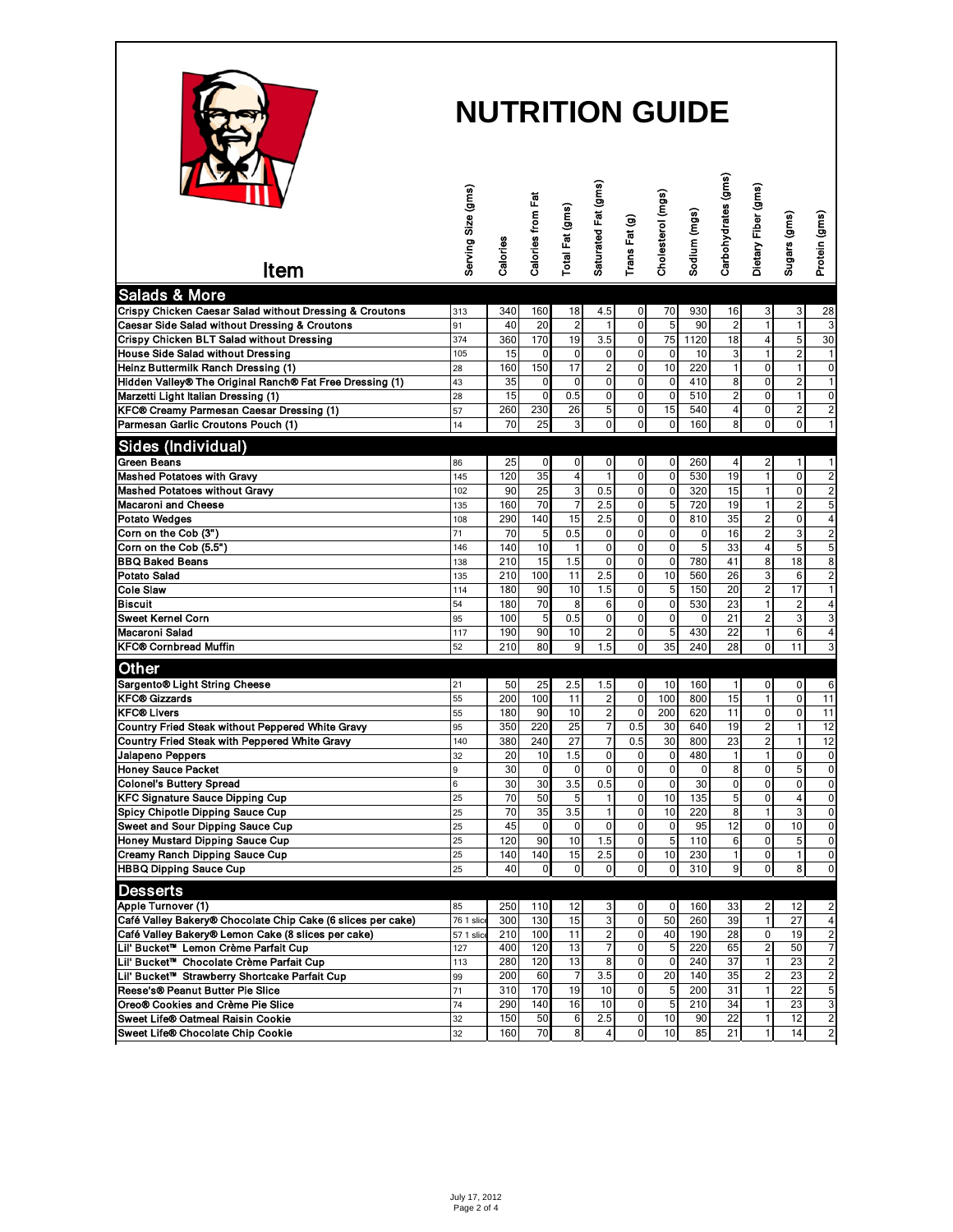

| $\mathbf{V}$<br>Item                                        | Serving Size (gms) | Calories               | Calories from Fat   | Total Fat (gms)    | Saturated Fat (gms)                    | Trans Fat (g)               | Cholesterol (mgs)       | Sodium (mgs) | Carbohydrates (gms) | Dietary Fiber (gms)           | Sugars (gms)                     | Protein (gms)           |
|-------------------------------------------------------------|--------------------|------------------------|---------------------|--------------------|----------------------------------------|-----------------------------|-------------------------|--------------|---------------------|-------------------------------|----------------------------------|-------------------------|
| <b>Salads &amp; More</b>                                    |                    |                        |                     |                    |                                        |                             |                         |              |                     |                               |                                  |                         |
| Crispy Chicken Caesar Salad without Dressing & Croutons     | 313                | 340                    | 160                 | 18                 | 4.5                                    | 0                           | 70                      | 930          | 16                  | 3                             | 3                                | 28                      |
| Caesar Side Salad without Dressing & Croutons               | 91                 | 40                     | 20                  | $\overline{2}$     | 1                                      | $\mathbf 0$                 | 5                       | 90           | $\sqrt{2}$          | $\mathbf{1}$                  | $\mathbf{1}$                     | $\overline{3}$          |
| Crispy Chicken BLT Salad without Dressing                   | 374                | 360                    | 170                 | 19                 | 3.5                                    | $\mathbf 0$                 | 75                      | 1120         | 18                  | 4                             | 5                                | 30                      |
| <b>House Side Salad without Dressing</b>                    | 105                | 15                     | 0                   | $\mathbf 0$        | $\pmb{0}$                              | $\mathbf 0$                 | $\mathbf 0$             | 10           | 3                   | 1                             | $\overline{\mathbf{c}}$          | 1                       |
| Heinz Buttermilk Ranch Dressing (1)                         | 28                 | 160                    | 150                 | 17                 | $\overline{\mathbf{c}}$                | $\mathbf 0$                 | 10                      | 220          | $\mathbf{1}$        | 0                             | 1                                | 0                       |
| Hidden Valley® The Original Ranch® Fat Free Dressing (1)    | 43                 | 35<br>15               | 0<br>$\overline{0}$ | $\mathbf 0$<br>0.5 | $\mathbf 0$<br>$\overline{\mathbf{0}}$ | 0<br>$\mathbf 0$            | $\mathbf 0$<br>$\Omega$ | 410<br>510   | 8<br>$\overline{2}$ | 0<br>$\Omega$                 | 2                                | 1                       |
| Marzetti Light Italian Dressing (1)                         | 28                 |                        |                     |                    |                                        |                             |                         |              |                     |                               | 1                                | 0                       |
| KFC® Creamy Parmesan Caesar Dressing (1)                    | 57                 | 260<br>$\overline{70}$ | 230<br>25           | 26                 | 5<br>$\overline{0}$                    | $\pmb{0}$<br>$\overline{0}$ | 15<br>$\Omega$          | 540<br>160   | 4<br>8              | $\mathbf 0$<br>$\overline{0}$ | $\overline{2}$<br>$\overline{0}$ | $\overline{\mathbf{c}}$ |
| Parmesan Garlic Croutons Pouch (1)                          | 14                 |                        |                     | 3                  |                                        |                             |                         |              |                     |                               |                                  | $\overline{1}$          |
| Sides (Individual)                                          |                    |                        |                     |                    |                                        |                             |                         |              |                     |                               |                                  |                         |
| <b>Green Beans</b>                                          | 86                 | 25                     | 0                   | 0                  | $\mathbf 0$                            | 0                           | 0                       | 260          | $\overline{4}$      | 2                             | $\mathbf{1}$                     | 1                       |
| <b>Mashed Potatoes with Gravy</b>                           | 145                | 120                    | 35                  | 4                  | $\mathbf{1}$                           | $\pmb{0}$                   | $\mathbf 0$             | 530          | 19                  | $\overline{1}$                | 0                                | $\overline{\mathbf{c}}$ |
| <b>Mashed Potatoes without Gravy</b>                        | 102                | 90                     | 25                  | 3                  | 0.5                                    | $\mathbf 0$                 | $\mathbf 0$             | 320          | 15                  | $\mathbf{1}$                  | $\mathbf 0$                      | $\overline{\mathbf{c}}$ |
| <b>Macaroni and Cheese</b>                                  | 135                | 160                    | 70                  | $\overline{7}$     | 2.5                                    | $\mathbf 0$                 | 5                       | 720          | 19                  |                               | $\overline{c}$                   | 5                       |
| <b>Potato Wedges</b>                                        | 108                | 290                    | 140                 | 15                 | 2.5                                    | $\mathbf 0$                 | $\Omega$                | 810          | 35                  | $\overline{c}$                | 0                                | 4                       |
| Corn on the Cob (3")                                        | 71                 | 70                     | 5                   | 0.5                | 0                                      | $\mathbf 0$                 | $\mathbf 0$             | 0            | 16                  | $\overline{2}$                | 3                                | $\overline{\mathbf{c}}$ |
| Corn on the Cob (5.5")                                      | 146                | 140                    | 10                  |                    | 0                                      | $\mathbf 0$                 | $\mathbf 0$             | 5            | 33                  | $\overline{4}$                | 5                                | 5                       |
| <b>BBQ Baked Beans</b>                                      | 138                | 210                    | 15                  | 1.5                | $\mathbf 0$                            | $\mathbf 0$                 | $\mathbf 0$             | 780          | 41                  | 8                             | 18                               | 8                       |
| <b>Potato Salad</b>                                         | 135                | 210                    | 100                 | 11                 | 2.5                                    | $\mathbf 0$                 | 10                      | 560          | 26                  | 3                             | 6                                | $\overline{\mathbf{c}}$ |
| <b>Cole Slaw</b>                                            | 114                | 180                    | 90                  | 10                 | 1.5                                    | $\mathbf 0$                 | 5                       | 150          | 20                  | $\overline{c}$                | 17                               | $\mathbf{1}$            |
| <b>Biscuit</b>                                              | 54                 | 180                    | 70                  | 8                  | 6                                      | $\pmb{0}$                   | $\mathbf 0$             | 530          | 23                  | $\mathbf{1}$                  | 2                                | 4                       |
| <b>Sweet Kernel Corn</b>                                    | 95                 | 100                    | 5                   | 0.5                | $\overline{0}$                         | $\pmb{0}$                   | $\mathbf 0$             | 0            | 21                  | $\overline{c}$                | 3                                | 3                       |
| <b>Macaroni Salad</b>                                       | 117                | 190                    | 90                  | 10                 | $\overline{c}$                         | $\mathbf 0$                 | 5                       | 430          | 22                  | $\mathbf{1}$                  | 6                                | $\overline{\mathbf{4}}$ |
| <b>KFC® Cornbread Muffin</b>                                | 52                 | 210                    | 80                  | 9                  | 1.5                                    | 0                           | 35                      | 240          | 28                  | 0                             | 11                               | 3                       |
| Other                                                       |                    |                        |                     |                    |                                        |                             |                         |              |                     |                               |                                  |                         |
| Sargento® Light String Cheese                               | 21                 | 50                     | 25                  | 2.5                | 1.5                                    | 0                           | 10                      | 160          | $\vert$             | 0                             | 0                                | 6                       |
| <b>KFC® Gizzards</b>                                        | 55                 | 200                    | 100                 | 11                 | 2                                      | $\mathbf 0$                 | 100                     | 800          | 15                  | 1                             | 0                                | 11                      |
| <b>KFC® Livers</b>                                          | 55                 | 180                    | 90                  | 10                 | $\mathbf 2$                            | $\mathbf 0$                 | 200                     | 620          | 11                  | $\mathbf 0$                   | 0                                | 11                      |
| Country Fried Steak without Peppered White Gravy            | 95                 | 350                    | 220                 | 25                 | 7                                      | 0.5                         | 30                      | 640          | 19                  | $\overline{c}$                | $\mathbf{1}$                     | 12                      |
| Country Fried Steak with Peppered White Gravy               | 140                | 380                    | 240                 | 27                 | $\overline{7}$                         | 0.5                         | 30                      | 800          | 23                  | $\overline{c}$                | $\mathbf{1}$                     | 12                      |
| Jalapeno Peppers                                            | 32                 | 20                     | 10                  | 1.5                | $\overline{\mathbf{0}}$                | 0                           | $\mathbf 0$             | 480          | 1                   | 1                             | 0                                | $\pmb{0}$               |
| <b>Honey Sauce Packet</b>                                   | 9                  | 30                     | $\mathbf 0$         | $\mathbf 0$        | $\pmb{0}$                              | $\pmb{0}$                   | $\mathbf 0$             | 0            | 8                   | $\mathbf 0$                   | 5                                | $\pmb{0}$               |
| <b>Colonel's Buttery Spread</b>                             | 6                  | 30                     | 30                  | 3.5                | 0.5                                    | 0                           | 0                       | 30           | $\mathbf 0$         | 0                             | 0                                | $\pmb{0}$               |
| <b>KFC Signature Sauce Dipping Cup</b>                      | 25                 | 70                     | 50                  | 5                  | 1                                      | $\mathbf 0$                 | 10                      | 135          | $\overline{5}$      | $\mathbf 0$                   | 4                                | $\pmb{0}$               |
| Spicy Chipotle Dipping Sauce Cup                            | 25                 | 70                     | 35                  | 3.5                | 1                                      | $\pmb{0}$                   | 10                      | 220          | 8                   | $\mathbf{1}$                  | 3                                | $\pmb{0}$               |
| Sweet and Sour Dipping Sauce Cup                            | 25                 | 45                     | $\mathbf 0$         | $\mathbf 0$        | $\mathbf 0$                            | $\mathbf 0$                 | $\mathbf 0$             | 95           | 12                  | $\mathbf 0$                   | 10                               | $\overline{0}$          |
| <b>Honey Mustard Dipping Sauce Cup</b>                      | 25                 | 120                    | 90                  | 10                 | 1.5                                    | $\pmb{0}$                   | 5                       | 110          | 6                   | $\mathbf 0$                   | 5                                | $\pmb{0}$               |
| Creamy Ranch Dipping Sauce Cup                              | 25                 | 140                    | 140                 | 15                 | 2.5                                    | $\mathbf 0$                 | 10                      | 230          | 1                   | $\mathbf 0$                   | 1                                | $\pmb{0}$               |
| <b>HBBQ Dipping Sauce Cup</b>                               | 25                 | 40                     | $\mathbf 0$         | $\mathbf{0}$       | $\mathbf{0}$                           | $\mathbf 0$                 | $\overline{0}$          | 310          | 9                   | $\overline{0}$                | 8 <sup>1</sup>                   | $\pmb{0}$               |
| <b>Desserts</b>                                             |                    |                        |                     |                    |                                        |                             |                         |              |                     |                               |                                  |                         |
| Apple Turnover (1)                                          | 85                 | 250                    | 110                 | 12                 |                                        | 0                           | 0                       | 160          | 33                  |                               |                                  |                         |
| Café Valley Bakery® Chocolate Chip Cake (6 slices per cake) | 76 1 slic          | 300                    | 130                 | 15                 | 3<br>3                                 | $\pmb{0}$                   | 50                      | 260          | 39                  | 2<br>1                        | 12<br>$\overline{27}$            | 2<br>4                  |
| Café Valley Bakery® Lemon Cake (8 slices per cake)          | 57 1 slice         | 210                    | 100                 | 11                 | $\overline{\mathbf{c}}$                | 0                           | 40                      | 190          | 28                  | 0                             | 19                               | $\overline{\mathbf{c}}$ |
| Lil' Bucket™ Lemon Crème Parfait Cup                        | 127                | 400                    | 120                 | 13                 | 7                                      | $\pmb{0}$                   | 5                       | 220          | 65                  | 2                             | 50                               | 7                       |
| Lil' Bucket <sup>™</sup> Chocolate Crème Parfait Cup        | 113                | 280                    | 120                 | 13                 | 8                                      | $\pmb{0}$                   | 0                       | 240          | 37                  | $\mathbf{1}$                  | 23                               | $\overline{\mathbf{c}}$ |
| Lil' Bucket <sup>™</sup> Strawberry Shortcake Parfait Cup   | 99                 | 200                    | 60                  | 7                  | 3.5                                    | 0                           | 20                      | 140          | 35                  | 2                             | 23                               | $\overline{\mathbf{c}}$ |
| Reese's® Peanut Butter Pie Slice                            | 71                 | 310                    | 170                 | 19                 | 10                                     | $\pmb{0}$                   | 5                       | 200          | 31                  | $\mathbf{1}$                  | 22                               | 5                       |
| Oreo® Cookies and Crème Pie Slice                           | 74                 | 290                    | 140                 | 16                 | 10                                     | 0                           | 5                       | 210          | 34                  | 1                             | 23                               | 3                       |
| Sweet Life® Oatmeal Raisin Cookie                           | 32                 | 150                    | 50                  | 6                  | 2.5                                    | 0                           | 10                      | 90           | 22                  | 1                             | 12                               | $\overline{2}$          |
| Sweet Life® Chocolate Chip Cookie                           | 32                 | 160                    | 70                  | 8                  | $\overline{4}$                         | $\pmb{0}$                   | 10                      | 85           | 21                  | 1                             | 14                               | $\mathbf 2$             |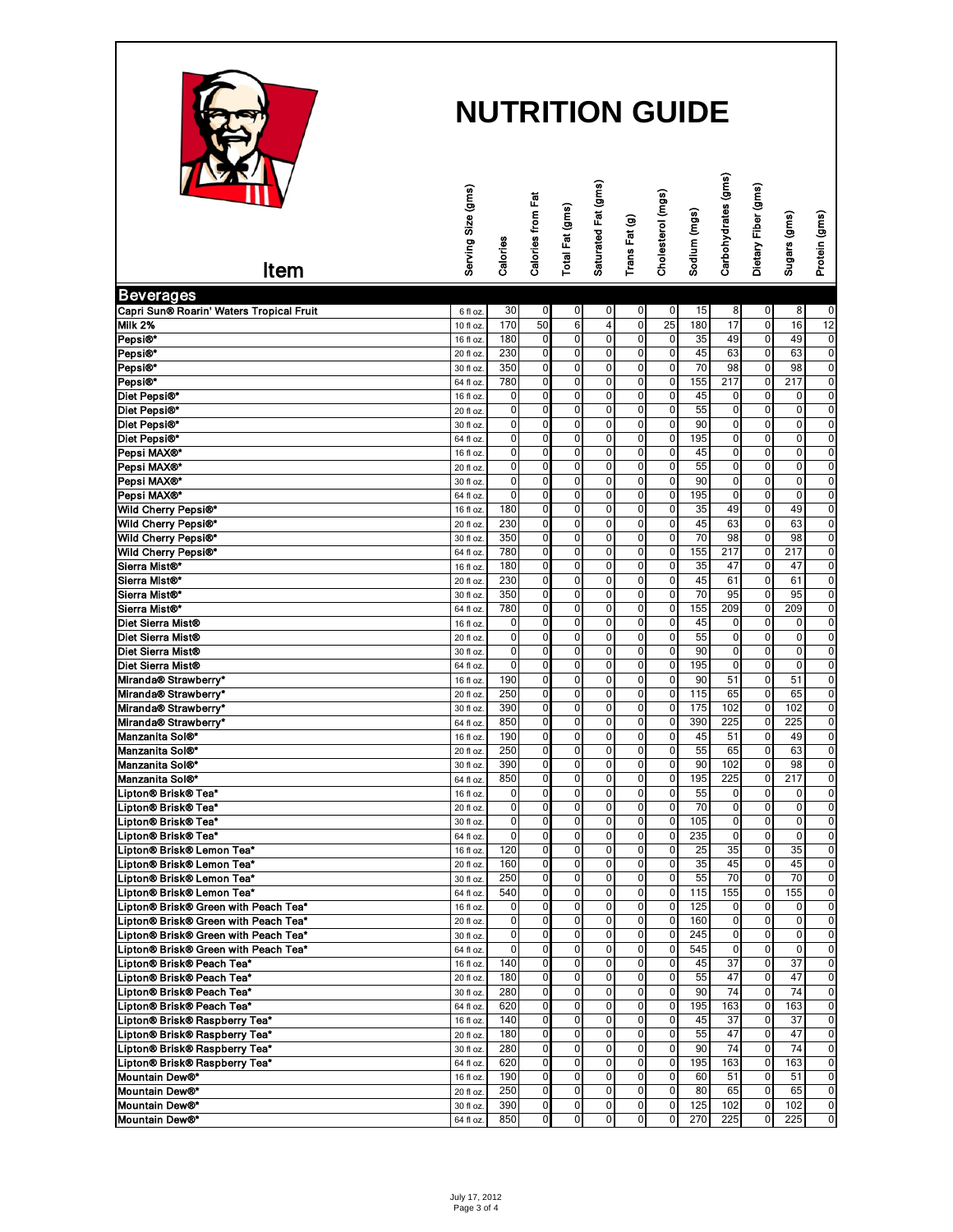

| $\mathbf{M}$                                                                | Serving Size (gms)     |                     | Calories from Fat                |                             | Saturated Fat (gms)                       |                            | Cholesterol (mgs)          |              | Carbohydrates (gms)           | Dietary Fiber (gms) |                            |                                  |
|-----------------------------------------------------------------------------|------------------------|---------------------|----------------------------------|-----------------------------|-------------------------------------------|----------------------------|----------------------------|--------------|-------------------------------|---------------------|----------------------------|----------------------------------|
|                                                                             |                        |                     |                                  |                             |                                           |                            |                            |              |                               |                     |                            |                                  |
|                                                                             |                        | Calories            |                                  | Total Fat (gms)             |                                           | Trans Fat (g)              |                            | Sodium (mgs) |                               |                     | Sugars (gms)               | Protein (gms)                    |
| Item                                                                        |                        |                     |                                  |                             |                                           |                            |                            |              |                               |                     |                            |                                  |
| <b>Beverages</b>                                                            |                        |                     |                                  |                             |                                           |                            |                            |              |                               |                     |                            |                                  |
| Capri Sun® Roarin' Waters Tropical Fruit                                    | 6 fl oz.               | 30                  | $\mathbf 0$                      | $\mathbf 0$                 | 0                                         | 0                          | 0                          | 15           | 8                             | 0                   | 8                          | 0                                |
| <b>Milk 2%</b>                                                              | 10 fl oz.              | 170                 | 50                               | 6                           | $\overline{4}$                            | $\overline{0}$             | $\overline{25}$            | 180          | 17                            | $\mathbf 0$         | 16                         | 12                               |
| Pepsi®*<br>Pepsi®*                                                          | 16 fl oz.<br>20 fl oz. | 180<br>230          | $\mathbf 0$<br>$\overline{0}$    | $\mathbf 0$<br>$\mathbf 0$  | $\overline{\mathbf{0}}$<br>$\overline{0}$ | 0<br>$\overline{0}$        | 0<br>$\overline{0}$        | 35<br>45     | 49<br>63                      | 0<br>0              | 49<br>63                   | $\pmb{0}$<br>$\overline{0}$      |
| Pepsi®*                                                                     | 30 fl oz.              | 350                 | $\overline{0}$                   | $\mathbf 0$                 | $\overline{\mathbf{0}}$                   | 0                          | 0                          | 70           | 98                            | 0                   | 98                         | $\overline{0}$                   |
| Pepsi®*                                                                     | 64 fl oz               | 780                 | 0                                | 0                           | $\overline{0}$                            | 0                          | 0                          | 155          | 217                           | 0                   | 217                        | $\overline{0}$                   |
| Diet Pepsi®*                                                                | 16 fl oz               | 0                   | $\overline{0}$                   | $\mathbf 0$                 | 0                                         | $\pmb{0}$                  | 0                          | 45           | 0                             | 0                   | 0                          | $\overline{0}$                   |
| Diet Pepsi®*                                                                | 20 fl oz               | $\mathbf 0$         | 0                                | $\mathbf 0$                 | 0                                         | $\pmb{0}$                  | $\mathbf 0$                | 55           | 0                             | 0                   | $\mathbf 0$                | $\mathbf 0$                      |
| Diet Pepsi®*                                                                | 30 fl oz.              | 0                   | 0                                | $\mathbf 0$                 | 0                                         | $\pmb{0}$                  | $\mathbf 0$                | 90           | 0                             | 0                   | $\mathbf 0$                | 0                                |
| Diet Pepsi®*                                                                | 64 fl oz.              | 0                   | 0                                | $\mathbf 0$                 | 0                                         | 0<br>$\pmb{0}$             | 0                          | 195          | 0                             | 0                   | $\mathbf 0$<br>$\mathbf 0$ | 0                                |
| Pepsi MAX®*<br>Pepsi MAX®*                                                  | 16 fl oz.<br>20 fl oz. | 0<br>0              | $\pmb{0}$<br>0                   | 0<br>0                      | 0<br>0                                    | 0                          | 0<br>$\mathbf 0$           | 45<br>55     | 0<br>$\overline{0}$           | 0<br>0              | $\mathbf 0$                | $\pmb{0}$<br>$\overline{0}$      |
| Pepsi MAX®*                                                                 | 30 fl oz.              | $\pmb{0}$           | $\overline{0}$                   | 0                           | 0                                         | 0                          | $\mathbf 0$                | 90           | $\overline{0}$                | 0                   | $\mathbf 0$                | $\overline{0}$                   |
| Pepsi MAX®*                                                                 | 64 fl oz.              | $\pmb{0}$           | $\mathbf 0$                      | 0                           | 0                                         | $\pmb{0}$                  | $\mathbf 0$                | 195          | 0                             | $\mathbf 0$         | $\mathbf 0$                | $\overline{0}$                   |
| Wild Cherry Pepsi®*                                                         | 16 fl oz               | 180                 | $\overline{0}$                   | $\mathbf 0$                 | $\overline{\mathbf{0}}$                   | $\overline{0}$             | $\mathbf 0$                | 35           | 49                            | 0                   | 49                         | $\overline{0}$                   |
| Wild Cherry Pepsi®*                                                         | 20 fl oz               | 230                 | $\overline{0}$                   | $\mathbf 0$                 | $\overline{\mathbf{0}}$                   | $\overline{0}$             | $\pmb{0}$                  | 45           | 63                            | $\overline{0}$      | 63                         | $\overline{0}$                   |
| Wild Cherry Pepsi®*                                                         | 30 fl oz.              | 350                 | $\overline{0}$                   | $\mathbf 0$                 | $\overline{\mathbf{0}}$                   | $\pmb{0}$                  | $\mathbf 0$                | 70           | 98                            | $\mathbf 0$         | 98                         | $\overline{0}$                   |
| Wild Cherry Pepsi®*                                                         | 64 fl oz               | 780                 | 0                                | 0                           | 0                                         | 0                          | 0                          | 155          | 217                           | 0                   | 217                        | $\overline{0}$                   |
| Sierra Mist®*<br>Sierra Mist® <sup>*</sup>                                  | 16 fl oz<br>20 fl oz.  | 180<br>230          | 0<br>0                           | $\mathbf 0$<br>$\mathbf{0}$ | 0<br>$\mathbf 0$                          | 0<br>0                     | 0<br>0                     | 35<br>45     | 47<br>61                      | 0<br>0              | 47<br>61                   | $\overline{0}$<br>$\pmb{0}$      |
| Sierra Mist®*                                                               | 30 fl oz               | 350                 | 0                                | $\overline{0}$              | $\mathbf 0$                               | 0                          | $\mathbf 0$                | 70           | 95                            | 0                   | 95                         | $\overline{0}$                   |
| Sierra Mist®*                                                               | 64 fl oz.              | 780                 | 0                                | $\mathbf{0}$                | $\mathbf 0$                               | 0                          | 0                          | 155          | 209                           | 0                   | 209                        | $\overline{0}$                   |
| Diet Sierra Mist®                                                           | 16 fl oz               | $\pmb{0}$           | $\mathbf 0$                      | $\mathbf 0$                 | 0                                         | $\pmb{0}$                  | 0                          | 45           | 0                             | 0                   | 0                          | $\pmb{0}$                        |
| Diet Sierra Mist®                                                           | 20 fl oz.              | 0                   | $\overline{0}$                   | 0                           | $\overline{0}$                            | 0                          | $\pmb{0}$                  | 55           | $\overline{0}$                | 0                   | 0                          | $\overline{0}$                   |
| Diet Sierra Mist®                                                           | 30 fl oz.              | $\mathbf 0$         | $\overline{0}$                   | $\overline{0}$              | $\overline{0}$                            | $\overline{0}$             | $\mathbf 0$                | 90           | $\overline{0}$                | $\overline{0}$      | $\mathbf 0$                | $\overline{0}$                   |
| Diet Sierra Mist®                                                           | 64 fl oz.              | 0                   | $\pmb{0}$                        | $\mathbf 0$                 | 0                                         | $\pmb{0}$                  | $\mathbf 0$                | 195          | 0                             | 0                   | 0                          | $\overline{0}$                   |
| Miranda® Strawberry*                                                        | 16 fl oz               | 190                 | $\overline{0}$<br>$\overline{0}$ | 0<br>$\mathbf{0}$           | $\overline{\mathbf{0}}$                   | $\overline{0}$             | 0                          | 90<br>115    | 51<br>65                      | $\overline{0}$      | 51                         | $\overline{0}$<br>$\overline{0}$ |
| Miranda® Strawberry*<br>Miranda® Strawberry*                                | 20 fl oz.<br>30 fl oz. | 250<br>390          | $\overline{0}$                   | $\mathbf 0$                 | $\overline{\mathbf{0}}$<br>$\overline{0}$ | 0<br>$\mathbf 0$           | $\mathbf 0$<br>$\mathbf 0$ | 175          | 102                           | 0<br>0              | 65<br>102                  | $\overline{0}$                   |
| Miranda® Strawberry*                                                        | 64 fl oz.              | 850                 | 0                                | 0                           | 0                                         | 0                          | 0                          | 390          | 225                           | 0                   | 225                        | $\overline{0}$                   |
| Manzanita Sol®*                                                             | 16 fl oz               | 190                 | 0                                | 0                           | 0                                         | 0                          | 0                          | 45           | 51                            | 0                   | 49                         | 0                                |
| Manzanita Sol®*                                                             | 20 fl oz               | 250                 | $\pmb{0}$                        | $\mathbf 0$                 | 0                                         | 0                          | 0                          | 55           | 65                            | 0                   | 63                         | $\pmb{0}$                        |
| Manzanita Sol®*                                                             | 30 fl oz.              | 390                 | 0                                | $\mathbf 0$                 | 0                                         | 0                          | $\mathbf 0$                | 90           | 102                           | 0                   | 98                         | 0                                |
| Manzanita Sol®*                                                             | 64 fl oz.              | 850                 | 0                                | $\mathbf 0$                 | 0                                         | 0                          | 0                          | 195          | 225                           | 0                   | 217                        | 0                                |
| .ipton® Brisk® Tea*                                                         | 16 fl oz.              | 0                   | $\mathbf 0$                      | $\mathbf 0$                 | 0                                         | $\pmb{0}$                  | $\mathbf 0$                | 55           | 0                             | 0                   | 0                          | $\pmb{0}$                        |
| .ipton® Brisk® Tea*                                                         | 20 fl oz.              | $\pmb{0}$           | $\overline{0}$<br>$\overline{0}$ | 0<br>0                      | 0<br>0                                    | 0<br>0                     | $\mathbf 0$<br>$\mathbf 0$ | 70<br>105    | 0<br>$\overline{0}$           | 0<br>0              | $\mathbf 0$<br>$\mathbf 0$ | $\overline{0}$<br>$\overline{0}$ |
| .ipton® Brisk® Tea*<br>.ipton® Brisk® Tea*                                  | 30 fl oz.<br>64 fl oz. | 0<br>0              | $\mathbf 0$                      | 0                           | 0                                         | 0                          | 0                          | 235          | 0                             | $\mathbf 0$         | $\mathbf 0$                | $\overline{0}$                   |
| .ipton® Brisk® Lemon Tea*                                                   | 16 fl oz.              | 120                 | $\overline{0}$                   | $\mathbf 0$                 | $\overline{\mathbf{0}}$                   | 0                          | $\mathbf 0$                | 25           | 35                            | $\overline{0}$      | 35                         | $\overline{0}$                   |
| Lipton® Brisk® Lemon Tea*                                                   | 20 fl oz.              | 160                 | $\overline{0}$                   | $\overline{0}$              | $\overline{0}$                            | $\overline{0}$             | $\overline{0}$             | 35           | 45                            | $\overline{0}$      | 45                         | 0                                |
| -ipton® Brisk® Lemon Tea*                                                   | 30 fl oz.              | 250                 | $\pmb{0}$                        | $\mathbf 0$                 | $\pmb{0}$                                 | $\mathbf 0$                | $\mathbf 0$                | 55           | 70                            | $\mathbf 0$         | 70                         | 0                                |
| .ipton® Brisk® Lemon Tea*                                                   | 64 fl oz.              | 540                 | 0                                | $\overline{0}$              | $\overline{0}$                            | 0                          | 0                          | 115          | 155                           | 0                   | 155                        | 0                                |
| ipton® Brisk® Green with Peach Tea*.                                        | 16 fl oz.              | $\overline{0}$      | 0                                | $\mathbf 0$                 | $\pmb{0}$                                 | 0                          | 0                          | 125          | 0                             | 0                   | 0                          | 0                                |
| ipton® Brisk® Green with Peach Tea*                                         | 20 fl oz.              | $\overline{0}$      | 0                                | $\mathbf 0$<br>$\mathbf{0}$ | $\mathbf 0$                               | 0                          | 0                          | 160          | $\overline{0}$                | 0<br>$\overline{0}$ | 0                          | $\pmb{0}$                        |
| ipton® Brisk® Green with Peach Tea*<br>ipton® Brisk® Green with Peach Tea*. | 30 fl oz.<br>64 fl oz. | $\overline{0}$<br>0 | 0<br>0                           | $\overline{0}$              | $\mathbf 0$<br>$\mathbf 0$                | $\mathbf 0$<br>$\mathbf 0$ | 0<br>0                     | 245<br>545   | $\overline{0}$<br>$\mathbf 0$ | 0                   | 0<br>0                     | 0<br>0                           |
| .ipton® Brisk® Peach Tea*                                                   | 16 fl oz.              | 140                 | 0                                | $\mathbf{0}$                | $\mathbf 0$                               | 0                          | $\mathbf 0$                | 45           | 37                            | 0                   | 37                         | $\pmb{0}$                        |
| .ipton® Brisk® Peach Tea*                                                   | 20 fl oz.              | 180                 | 0                                | $\overline{0}$              | $\overline{0}$                            | $\mathbf 0$                | 0                          | 55           | 47                            | 0                   | 47                         | $\overline{0}$                   |
| .ipton® Brisk® Peach Tea*                                                   | 30 fl oz.              | 280                 | 0                                | $\mathbf{0}$                | $\overline{\mathbf{0}}$                   | 0                          | $\pmb{0}$                  | 90           | 74                            | 0                   | 74                         | $\overline{0}$                   |
| .ipton® Brisk® Peach Tea*                                                   | 64 fl oz.              | 620                 | 0                                | 0                           | $\mathbf 0$                               | $\mathbf 0$                | 0                          | 195          | 163                           | 0                   | 163                        | $\pmb{0}$                        |
| Lipton® Brisk® Raspberry Tea*                                               | 16 fl oz.              | 140                 | 0                                | $\mathbf 0$                 | $\mathbf 0$                               | 0                          | 0                          | 45           | 37                            | 0                   | 37                         | $\overline{0}$                   |
| Lipton® Brisk® Raspberry Tea*                                               | 20 fl oz.              | 180                 | $\mathbf 0$                      | $\mathbf{0}$                | $\overline{\mathbf{0}}$                   | $\mathbf 0$                | 0                          | 55           | 47                            | 0                   | 47                         | $\overline{0}$                   |
| Lipton® Brisk® Raspberry Tea*<br>.ipton® Brisk® Raspberry Tea*              | 30 fl oz.              | 280<br>620          | 0<br>0                           | $\mathbf 0$<br>0            | $\mathbf 0$<br>0                          | 0<br>0                     | $\mathbf 0$<br>0           | 90<br>195    | 74<br>163                     | 0<br>0              | 74<br>163                  | $\mathbf 0$<br>0                 |
| Mountain Dew®*                                                              | 64 fl oz.<br>16 fl oz. | 190                 | 0                                | $\mathbf 0$                 | 0                                         | 0                          | 0                          | 60           | 51                            | 0                   | 51                         | 0                                |
| Mountain Dew®*                                                              | 20 fl oz.              | 250                 | 0                                | $\mathbf 0$                 | 0                                         | 0                          | 0                          | 80           | 65                            | 0                   | 65                         | 0                                |
| Mountain Dew®*                                                              | 30 fl oz.              | 390                 | 0                                | $\mathbf 0$                 | 0                                         | 0                          | 0                          | 125          | 102                           | 0                   | 102                        | 0                                |
| Mountain Dew®*                                                              | 64 fl oz.              | 850                 | 0                                | 0                           | 0                                         | 0                          | 0                          | 270          | 225                           | 0                   | 225                        | 0                                |